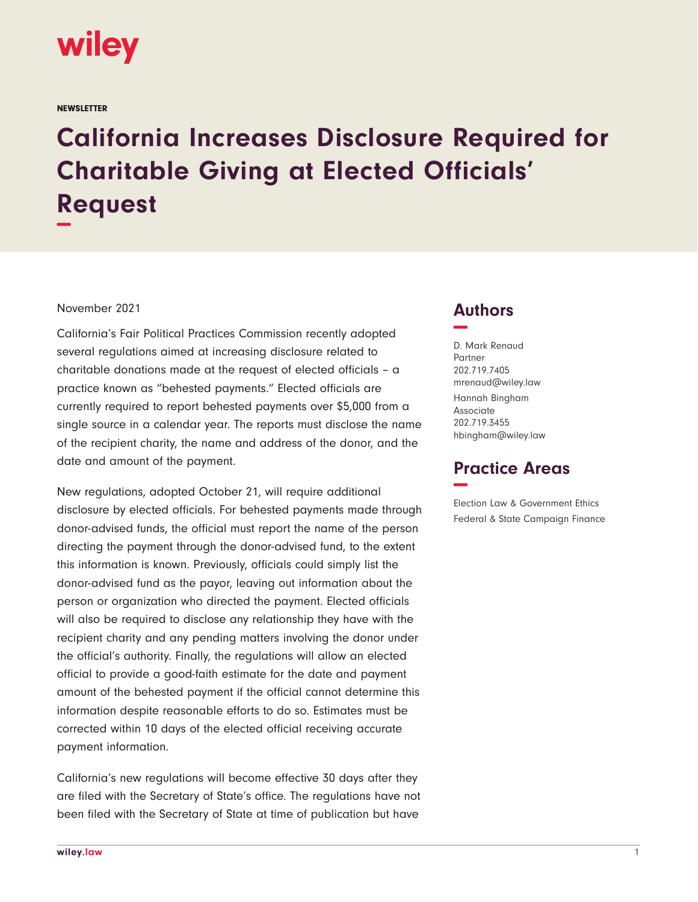

**NEWSLETTER** 

## **California Increases Disclosure Required for Charitable Giving at Elected Officials' Request −**

## November 2021

California's Fair Political Practices Commission recently adopted several regulations aimed at increasing disclosure related to charitable donations made at the request of elected officials – a practice known as "behested payments." Elected officials are currently required to report behested payments over \$5,000 from a single source in a calendar year. The reports must disclose the name of the recipient charity, the name and address of the donor, and the date and amount of the payment.

New regulations, adopted October 21, will require additional disclosure by elected officials. For behested payments made through donor-advised funds, the official must report the name of the person directing the payment through the donor-advised fund, to the extent this information is known. Previously, officials could simply list the donor-advised fund as the payor, leaving out information about the person or organization who directed the payment. Elected officials will also be required to disclose any relationship they have with the recipient charity and any pending matters involving the donor under the official's authority. Finally, the regulations will allow an elected official to provide a good-faith estimate for the date and payment amount of the behested payment if the official cannot determine this information despite reasonable efforts to do so. Estimates must be corrected within 10 days of the elected official receiving accurate payment information.

California's new regulations will become effective 30 days after they are filed with the Secretary of State's office. The regulations have not been filed with the Secretary of State at time of publication but have

## **Authors −**

D. Mark Renaud Partner 202.719.7405 mrenaud@wiley.law Hannah Bingham Associate 202.719.3455 hbingham@wiley.law

## **Practice Areas −**

Election Law & Government Ethics Federal & State Campaign Finance